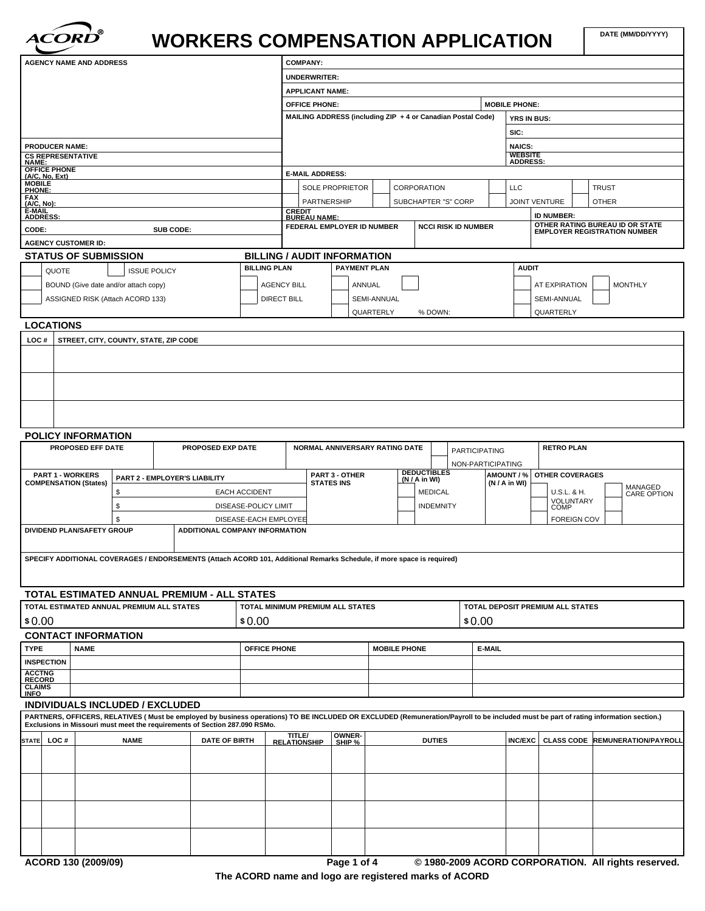

# WORKERS COMPENSATION APPLICATION  $\begin{bmatrix} \text{DATE (MMDDWYYY)} \end{bmatrix}$

| <b>AGENCY NAME AND ADDRESS</b>                                                                                         |                          |                                      |                                       |                                | <b>COMPANY:</b> |                     |                                                             |                   |        |                     |  |                     |  |                            |                    |                                   |                                  |              |                                                                                                                                                                                      |
|------------------------------------------------------------------------------------------------------------------------|--------------------------|--------------------------------------|---------------------------------------|--------------------------------|-----------------|---------------------|-------------------------------------------------------------|-------------------|--------|---------------------|--|---------------------|--|----------------------------|--------------------|-----------------------------------|----------------------------------|--------------|--------------------------------------------------------------------------------------------------------------------------------------------------------------------------------------|
|                                                                                                                        |                          |                                      |                                       |                                |                 |                     | <b>UNDERWRITER:</b>                                         |                   |        |                     |  |                     |  |                            |                    |                                   |                                  |              |                                                                                                                                                                                      |
|                                                                                                                        |                          |                                      |                                       |                                |                 |                     | <b>APPLICANT NAME:</b>                                      |                   |        |                     |  |                     |  |                            |                    |                                   |                                  |              |                                                                                                                                                                                      |
|                                                                                                                        |                          |                                      |                                       |                                |                 |                     | <b>OFFICE PHONE:</b>                                        |                   |        |                     |  |                     |  |                            |                    | <b>MOBILE PHONE:</b>              |                                  |              |                                                                                                                                                                                      |
|                                                                                                                        |                          |                                      |                                       |                                |                 |                     | MAILING ADDRESS (including ZIP + 4 or Canadian Postal Code) |                   |        |                     |  |                     |  |                            |                    | <b>YRS IN BUS:</b>                |                                  |              |                                                                                                                                                                                      |
|                                                                                                                        |                          |                                      |                                       |                                |                 |                     |                                                             |                   |        |                     |  |                     |  |                            |                    | SIC:                              |                                  |              |                                                                                                                                                                                      |
| <b>PRODUCER NAME:</b>                                                                                                  |                          |                                      |                                       |                                |                 |                     |                                                             |                   |        |                     |  |                     |  |                            |                    | <b>NAICS:</b>                     |                                  |              |                                                                                                                                                                                      |
| <b>CS REPRESENTATIVE</b><br><b>NAME:</b>                                                                               |                          |                                      |                                       |                                |                 |                     |                                                             |                   |        |                     |  |                     |  |                            |                    | <b>WEBSITE</b><br><b>ADDRESS:</b> |                                  |              |                                                                                                                                                                                      |
| OFFICE PHONE<br>(A/C, No, Ext)                                                                                         |                          |                                      |                                       |                                |                 |                     | <b>E-MAIL ADDRESS:</b>                                      |                   |        |                     |  |                     |  |                            |                    |                                   |                                  |              |                                                                                                                                                                                      |
| <b>MOBILE</b><br>PHONE:                                                                                                |                          |                                      |                                       |                                |                 |                     | SOLE PROPRIETOR                                             |                   |        |                     |  | CORPORATION         |  |                            |                    | <b>LLC</b>                        |                                  | <b>TRUST</b> |                                                                                                                                                                                      |
| <b>FAX</b><br>(A/C, No)                                                                                                |                          |                                      |                                       |                                |                 |                     | PARTNERSHIP                                                 |                   |        |                     |  | SUBCHAPTER "S" CORP |  |                            |                    |                                   | <b>JOINT VENTURE</b>             | <b>OTHER</b> |                                                                                                                                                                                      |
| E-MAIL<br><b>ADDRESS:</b>                                                                                              |                          |                                      |                                       |                                |                 |                     | <b>CREDIT</b><br><b>BUREAU NAME:</b>                        |                   |        |                     |  |                     |  |                            |                    |                                   | <b>ID NUMBER:</b>                |              |                                                                                                                                                                                      |
| CODE:                                                                                                                  |                          |                                      | SUB CODE:                             |                                |                 |                     | FEDERAL EMPLOYER ID NUMBER                                  |                   |        |                     |  |                     |  | <b>NCCI RISK ID NUMBER</b> |                    |                                   |                                  |              | <b>OTHER RATING BUREAU ID OR STATE<br/>EMPLOYER REGISTRATION NUMBER</b>                                                                                                              |
| <b>AGENCY CUSTOMER ID:</b>                                                                                             |                          |                                      |                                       |                                |                 |                     |                                                             |                   |        |                     |  |                     |  |                            |                    |                                   |                                  |              |                                                                                                                                                                                      |
| <b>STATUS OF SUBMISSION</b>                                                                                            |                          |                                      |                                       |                                |                 |                     | <b>BILLING / AUDIT INFORMATION</b>                          |                   |        |                     |  |                     |  |                            |                    |                                   |                                  |              |                                                                                                                                                                                      |
| QUOTE                                                                                                                  |                          |                                      | <b>ISSUE POLICY</b>                   |                                |                 | <b>BILLING PLAN</b> |                                                             |                   |        | <b>PAYMENT PLAN</b> |  |                     |  |                            |                    | <b>AUDIT</b>                      |                                  |              |                                                                                                                                                                                      |
|                                                                                                                        |                          |                                      |                                       |                                |                 |                     |                                                             |                   |        |                     |  |                     |  |                            |                    |                                   | <b>AT EXPIRATION</b>             |              | <b>MONTHLY</b>                                                                                                                                                                       |
|                                                                                                                        |                          | BOUND (Give date and/or attach copy) |                                       |                                |                 | <b>AGENCY BILL</b>  |                                                             |                   | ANNUAL |                     |  |                     |  |                            |                    |                                   |                                  |              |                                                                                                                                                                                      |
|                                                                                                                        |                          | ASSIGNED RISK (Attach ACORD 133)     |                                       |                                |                 | <b>DIRECT BILL</b>  |                                                             |                   |        | SEMI-ANNUAL         |  |                     |  |                            |                    |                                   | <b>SEMI-ANNUAL</b>               |              |                                                                                                                                                                                      |
|                                                                                                                        |                          |                                      |                                       |                                |                 |                     |                                                             |                   |        | QUARTERLY           |  | % DOWN:             |  |                            |                    |                                   | QUARTERLY                        |              |                                                                                                                                                                                      |
| <b>LOCATIONS</b>                                                                                                       |                          |                                      |                                       |                                |                 |                     |                                                             |                   |        |                     |  |                     |  |                            |                    |                                   |                                  |              |                                                                                                                                                                                      |
| LOC#                                                                                                                   |                          |                                      | STREET, CITY, COUNTY, STATE, ZIP CODE |                                |                 |                     |                                                             |                   |        |                     |  |                     |  |                            |                    |                                   |                                  |              |                                                                                                                                                                                      |
|                                                                                                                        |                          |                                      |                                       |                                |                 |                     |                                                             |                   |        |                     |  |                     |  |                            |                    |                                   |                                  |              |                                                                                                                                                                                      |
|                                                                                                                        |                          |                                      |                                       |                                |                 |                     |                                                             |                   |        |                     |  |                     |  |                            |                    |                                   |                                  |              |                                                                                                                                                                                      |
|                                                                                                                        |                          |                                      |                                       |                                |                 |                     |                                                             |                   |        |                     |  |                     |  |                            |                    |                                   |                                  |              |                                                                                                                                                                                      |
|                                                                                                                        |                          |                                      |                                       |                                |                 |                     |                                                             |                   |        |                     |  |                     |  |                            |                    |                                   |                                  |              |                                                                                                                                                                                      |
|                                                                                                                        |                          |                                      |                                       |                                |                 |                     |                                                             |                   |        |                     |  |                     |  |                            |                    |                                   |                                  |              |                                                                                                                                                                                      |
|                                                                                                                        |                          |                                      |                                       |                                |                 |                     |                                                             |                   |        |                     |  |                     |  |                            |                    |                                   |                                  |              |                                                                                                                                                                                      |
| <b>POLICY INFORMATION</b>                                                                                              |                          |                                      |                                       |                                |                 |                     |                                                             |                   |        |                     |  |                     |  |                            |                    |                                   |                                  |              |                                                                                                                                                                                      |
|                                                                                                                        | <b>PROPOSED EFF DATE</b> |                                      |                                       | PROPOSED EXP DATE              |                 |                     | NORMAL ANNIVERSARY RATING DATE                              |                   |        |                     |  |                     |  | <b>PARTICIPATING</b>       |                    |                                   | <b>RETRO PLAN</b>                |              |                                                                                                                                                                                      |
|                                                                                                                        |                          |                                      |                                       |                                |                 |                     |                                                             |                   |        |                     |  |                     |  |                            |                    |                                   |                                  |              |                                                                                                                                                                                      |
| <b>PART 1 - WORKERS</b>                                                                                                |                          |                                      |                                       |                                |                 |                     |                                                             | PART 3 - OTHER    |        |                     |  | <b>DEDUCTIBLES</b>  |  | NON-PARTICIPATING          | AMOUNT / %         |                                   | <b>OTHER COVERAGES</b>           |              |                                                                                                                                                                                      |
| <b>COMPENSATION (States)</b>                                                                                           |                          |                                      | PART 2 - EMPLOYER'S LIABILITY         |                                |                 |                     |                                                             | <b>STATES INS</b> |        |                     |  | (N / A in WI)       |  |                            | (N / A in WI)      |                                   |                                  |              |                                                                                                                                                                                      |
|                                                                                                                        |                          | \$                                   |                                       | <b>EACH ACCIDENT</b>           |                 |                     |                                                             |                   |        |                     |  | <b>MEDICAL</b>      |  |                            |                    |                                   | U.S.L. & H.<br>VOLUNTARY         |              | MANAGED<br>CARE OPTION                                                                                                                                                               |
|                                                                                                                        |                          | \$                                   |                                       | DISEASE-POLICY LIMIT           |                 |                     |                                                             |                   |        |                     |  | <b>INDEMNITY</b>    |  |                            |                    |                                   | COMP                             |              |                                                                                                                                                                                      |
|                                                                                                                        |                          | \$                                   |                                       | DISEASE-EACH EMPLOYEE          |                 |                     |                                                             |                   |        |                     |  |                     |  |                            | <b>FOREIGN COV</b> |                                   |                                  |              |                                                                                                                                                                                      |
| DIVIDEND PLAN/SAFETY GROUP                                                                                             |                          |                                      |                                       | ADDITIONAL COMPANY INFORMATION |                 |                     |                                                             |                   |        |                     |  |                     |  |                            |                    |                                   |                                  |              |                                                                                                                                                                                      |
|                                                                                                                        |                          |                                      |                                       |                                |                 |                     |                                                             |                   |        |                     |  |                     |  |                            |                    |                                   |                                  |              |                                                                                                                                                                                      |
| SPECIFY ADDITIONAL COVERAGES / ENDORSEMENTS (Attach ACORD 101, Additional Remarks Schedule, if more space is required) |                          |                                      |                                       |                                |                 |                     |                                                             |                   |        |                     |  |                     |  |                            |                    |                                   |                                  |              |                                                                                                                                                                                      |
|                                                                                                                        |                          |                                      |                                       |                                |                 |                     |                                                             |                   |        |                     |  |                     |  |                            |                    |                                   |                                  |              |                                                                                                                                                                                      |
|                                                                                                                        |                          |                                      |                                       |                                |                 |                     |                                                             |                   |        |                     |  |                     |  |                            |                    |                                   |                                  |              |                                                                                                                                                                                      |
| TOTAL ESTIMATED ANNUAL PREMIUM - ALL STATES                                                                            |                          |                                      |                                       |                                |                 |                     |                                                             |                   |        |                     |  |                     |  |                            |                    |                                   |                                  |              |                                                                                                                                                                                      |
| TOTAL ESTIMATED ANNUAL PREMIUM ALL STATES                                                                              |                          |                                      |                                       |                                |                 |                     | TOTAL MINIMUM PREMIUM ALL STATES                            |                   |        |                     |  |                     |  |                            |                    |                                   | TOTAL DEPOSIT PREMIUM ALL STATES |              |                                                                                                                                                                                      |
| \$0.00                                                                                                                 |                          |                                      |                                       |                                | \$0.00          |                     |                                                             |                   |        |                     |  |                     |  | \$0.00                     |                    |                                   |                                  |              |                                                                                                                                                                                      |
| <b>CONTACT INFORMATION</b>                                                                                             |                          |                                      |                                       |                                |                 |                     |                                                             |                   |        |                     |  |                     |  |                            |                    |                                   |                                  |              |                                                                                                                                                                                      |
| <b>TYPE</b>                                                                                                            | <b>NAME</b>              |                                      |                                       |                                |                 | <b>OFFICE PHONE</b> |                                                             |                   |        | <b>MOBILE PHONE</b> |  |                     |  | E-MAIL                     |                    |                                   |                                  |              |                                                                                                                                                                                      |
| <b>INSPECTION</b>                                                                                                      |                          |                                      |                                       |                                |                 |                     |                                                             |                   |        |                     |  |                     |  |                            |                    |                                   |                                  |              |                                                                                                                                                                                      |
| <b>ACCTNG</b>                                                                                                          |                          |                                      |                                       |                                |                 |                     |                                                             |                   |        |                     |  |                     |  |                            |                    |                                   |                                  |              |                                                                                                                                                                                      |
| <b>RECORD</b><br><b>CLAIMS</b>                                                                                         |                          |                                      |                                       |                                |                 |                     |                                                             |                   |        |                     |  |                     |  |                            |                    |                                   |                                  |              |                                                                                                                                                                                      |
| <b>INFO</b>                                                                                                            |                          |                                      |                                       |                                |                 |                     |                                                             |                   |        |                     |  |                     |  |                            |                    |                                   |                                  |              |                                                                                                                                                                                      |
| <b>INDIVIDUALS INCLUDED / EXCLUDED</b>                                                                                 |                          |                                      |                                       |                                |                 |                     |                                                             |                   |        |                     |  |                     |  |                            |                    |                                   |                                  |              |                                                                                                                                                                                      |
| Exclusions in Missouri must meet the requirements of Section 287.090 RSMo.                                             |                          |                                      |                                       |                                |                 |                     |                                                             |                   |        |                     |  |                     |  |                            |                    |                                   |                                  |              | PARTNERS, OFFICERS, RELATIVES (Must be employed by business operations) TO BE INCLUDED OR EXCLUDED (Remuneration/Payroll to be included must be part of rating information section.) |
| STATE LOC#                                                                                                             |                          | <b>NAME</b>                          |                                       | <b>DATE OF BIRTH</b>           |                 |                     | TITLE/<br>RELATIONSHIP                                      | OWNER-<br>SHIP %  |        |                     |  | <b>DUTIES</b>       |  |                            |                    | <b>INC/EXC</b>                    |                                  |              | <b>CLASS CODE REMUNERATION/PAYROLL</b>                                                                                                                                               |
|                                                                                                                        |                          |                                      |                                       |                                |                 |                     |                                                             |                   |        |                     |  |                     |  |                            |                    |                                   |                                  |              |                                                                                                                                                                                      |
|                                                                                                                        |                          |                                      |                                       |                                |                 |                     |                                                             |                   |        |                     |  |                     |  |                            |                    |                                   |                                  |              |                                                                                                                                                                                      |
|                                                                                                                        |                          |                                      |                                       |                                |                 |                     |                                                             |                   |        |                     |  |                     |  |                            |                    |                                   |                                  |              |                                                                                                                                                                                      |
|                                                                                                                        |                          |                                      |                                       |                                |                 |                     |                                                             |                   |        |                     |  |                     |  |                            |                    |                                   |                                  |              |                                                                                                                                                                                      |
|                                                                                                                        |                          |                                      |                                       |                                |                 |                     |                                                             |                   |        |                     |  |                     |  |                            |                    |                                   |                                  |              |                                                                                                                                                                                      |
|                                                                                                                        |                          |                                      |                                       |                                |                 |                     |                                                             |                   |        |                     |  |                     |  |                            |                    |                                   |                                  |              |                                                                                                                                                                                      |
|                                                                                                                        |                          |                                      |                                       |                                |                 |                     |                                                             |                   |        |                     |  |                     |  |                            |                    |                                   |                                  |              |                                                                                                                                                                                      |
|                                                                                                                        |                          |                                      |                                       |                                |                 |                     |                                                             |                   |        |                     |  |                     |  |                            |                    |                                   |                                  |              |                                                                                                                                                                                      |
|                                                                                                                        |                          |                                      |                                       |                                |                 |                     |                                                             |                   |        |                     |  |                     |  |                            |                    |                                   |                                  |              |                                                                                                                                                                                      |
|                                                                                                                        |                          |                                      |                                       |                                |                 |                     |                                                             |                   |        |                     |  |                     |  |                            |                    |                                   |                                  |              |                                                                                                                                                                                      |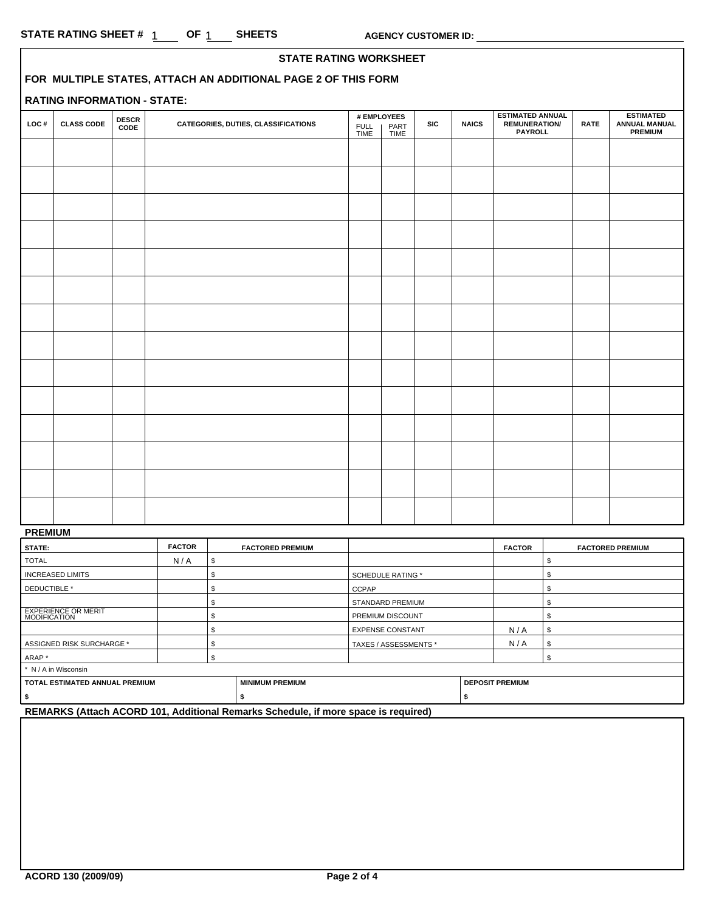|      |                                    |                      | <b>STATE RATING WORKSHEET</b>                                 |                     |                             |            |              |                                                                   |             |                                                            |  |
|------|------------------------------------|----------------------|---------------------------------------------------------------|---------------------|-----------------------------|------------|--------------|-------------------------------------------------------------------|-------------|------------------------------------------------------------|--|
|      |                                    |                      | FOR MULTIPLE STATES, ATTACH AN ADDITIONAL PAGE 2 OF THIS FORM |                     |                             |            |              |                                                                   |             |                                                            |  |
|      | <b>RATING INFORMATION - STATE:</b> |                      |                                                               |                     |                             |            |              |                                                                   |             |                                                            |  |
| LOC# | <b>CLASS CODE</b>                  | <b>DESCR</b><br>CODE | CATEGORIES, DUTIES, CLASSIFICATIONS                           | <b>FULL</b><br>TIME | # EMPLOYEES<br>PART<br>TIME | <b>SIC</b> | <b>NAICS</b> | <b>ESTIMATED ANNUAL</b><br><b>REMUNERATION/</b><br><b>PAYROLL</b> | <b>RATE</b> | <b>ESTIMATED</b><br><b>ANNUAL MANUAL</b><br><b>PREMIUM</b> |  |
|      |                                    |                      |                                                               |                     |                             |            |              |                                                                   |             |                                                            |  |
|      |                                    |                      |                                                               |                     |                             |            |              |                                                                   |             |                                                            |  |
|      |                                    |                      |                                                               |                     |                             |            |              |                                                                   |             |                                                            |  |
|      |                                    |                      |                                                               |                     |                             |            |              |                                                                   |             |                                                            |  |
|      |                                    |                      |                                                               |                     |                             |            |              |                                                                   |             |                                                            |  |
|      |                                    |                      |                                                               |                     |                             |            |              |                                                                   |             |                                                            |  |
|      |                                    |                      |                                                               |                     |                             |            |              |                                                                   |             |                                                            |  |
|      |                                    |                      |                                                               |                     |                             |            |              |                                                                   |             |                                                            |  |
|      |                                    |                      |                                                               |                     |                             |            |              |                                                                   |             |                                                            |  |
|      |                                    |                      |                                                               |                     |                             |            |              |                                                                   |             |                                                            |  |
|      |                                    |                      |                                                               |                     |                             |            |              |                                                                   |             |                                                            |  |
|      |                                    |                      |                                                               |                     |                             |            |              |                                                                   |             |                                                            |  |
|      |                                    |                      |                                                               |                     |                             |            |              |                                                                   |             |                                                            |  |
|      |                                    |                      |                                                               |                     |                             |            |              |                                                                   |             |                                                            |  |
|      |                                    |                      |                                                               |                     |                             |            |              |                                                                   |             |                                                            |  |
|      |                                    |                      |                                                               |                     |                             |            |              |                                                                   |             |                                                            |  |
|      |                                    |                      |                                                               |                     |                             |            |              |                                                                   |             |                                                            |  |

### **PREMIUM**

| STATE:                                            | <b>FACTOR</b> |                         | <b>FACTORED PREMIUM</b> |                          | <b>FACTOR</b> | <b>FACTORED PREMIUM</b> |  |
|---------------------------------------------------|---------------|-------------------------|-------------------------|--------------------------|---------------|-------------------------|--|
| <b>TOTAL</b>                                      | N/A           | \$                      |                         |                          |               |                         |  |
| <b>INCREASED LIMITS</b>                           |               |                         |                         | <b>SCHEDULE RATING *</b> |               |                         |  |
| DEDUCTIBLE *                                      |               |                         |                         | CCPAP                    |               |                         |  |
|                                                   |               |                         |                         | <b>STANDARD PREMIUM</b>  |               |                         |  |
| <b>EXPERIENCE OR MERIT</b><br><b>MODIFICATION</b> |               | <b>PREMIUM DISCOUNT</b> |                         |                          |               |                         |  |
|                                                   |               |                         |                         | <b>EXPENSE CONSTANT</b>  | N/A           | æ.                      |  |
| ASSIGNED RISK SURCHARGE *                         |               | TAXES / ASSESSMENTS *   |                         | N/A                      |               |                         |  |
| ARAP*                                             |               |                         |                         |                          |               |                         |  |
| * N / A in Wisconsin                              |               |                         |                         |                          |               |                         |  |
| TOTAL ESTIMATED ANNUAL PREMIUM                    |               | <b>MINIMUM PREMIUM</b>  |                         | <b>DEPOSIT PREMIUM</b>   |               |                         |  |
|                                                   |               |                         |                         |                          |               |                         |  |

**REMARKS (Attach ACORD 101, Additional Remarks Schedule, if more space is required)**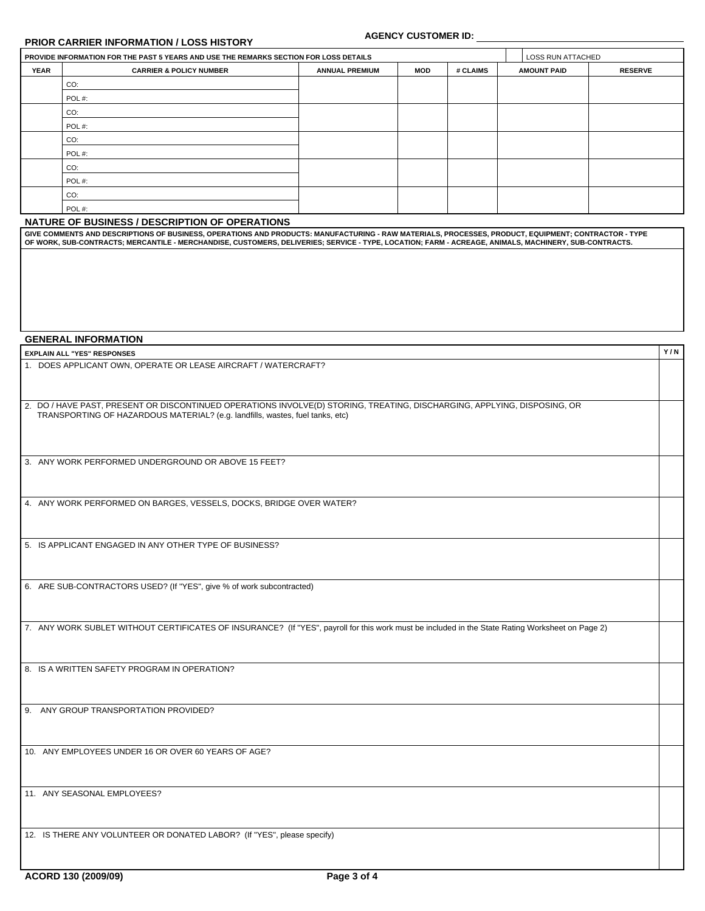# **PRIOR CARRIER INFORMATION / LOSS HISTORY**

## **AGENCY CUSTOMER ID:**

**Y / N**

|             | PROVIDE INFORMATION FOR THE PAST 5 YEARS AND USE THE REMARKS SECTION FOR LOSS DETAILS |                       |     |          | LOSS RUN ATTACHED  |                |
|-------------|---------------------------------------------------------------------------------------|-----------------------|-----|----------|--------------------|----------------|
| <b>YEAR</b> | <b>CARRIER &amp; POLICY NUMBER</b>                                                    | <b>ANNUAL PREMIUM</b> | MOD | # CLAIMS | <b>AMOUNT PAID</b> | <b>RESERVE</b> |
|             | CO:                                                                                   |                       |     |          |                    |                |
|             | POL#:                                                                                 |                       |     |          |                    |                |
|             | CO:                                                                                   |                       |     |          |                    |                |
|             | POL#:                                                                                 |                       |     |          |                    |                |
|             | CO:                                                                                   |                       |     |          |                    |                |
|             | POL#:                                                                                 |                       |     |          |                    |                |
|             | CO:                                                                                   |                       |     |          |                    |                |
|             | POL#:                                                                                 |                       |     |          |                    |                |
|             | CO:                                                                                   |                       |     |          |                    |                |
|             | POL#:                                                                                 |                       |     |          |                    |                |
|             | NATURE OF BUSINESS / DESCRIPTION OF OPERATIONS                                        |                       |     |          |                    |                |

**GIVE COMMENTS AND DESCRIPTIONS OF BUSINESS, OPERATIONS AND PRODUCTS: MANUFACTURING - RAW MATERIALS, PROCESSES, PRODUCT, EQUIPMENT; CONTRACTOR - TYPE OF WORK, SUB-CONTRACTS; MERCANTILE - MERCHANDISE, CUSTOMERS, DELIVERIES; SERVICE - TYPE, LOCATION; FARM - ACREAGE, ANIMALS, MACHINERY, SUB-CONTRACTS.**

#### **GENERAL INFORMATION**

EXPLAIN ALL "YES" RESPONSES<br>1. DOES APPLICANT OWN, OPERATE OR LEASE AIRCRAFT / WATERCRAFT?

| 2. DO / HAVE PAST, PRESENT OR DISCONTINUED OPERATIONS INVOLVE(D) STORING, TREATING, DISCHARGING, APPLYING, DISPOSING, OR |
|--------------------------------------------------------------------------------------------------------------------------|
| TRANSPORTING OF HAZARDOUS MATERIAL? (e.g. landfills, wastes, fuel tanks, etc)                                            |

3. ANY WORK PERFORMED UNDERGROUND OR ABOVE 15 FEET?

4. ANY WORK PERFORMED ON BARGES, VESSELS, DOCKS, BRIDGE OVER WATER?

5. IS APPLICANT ENGAGED IN ANY OTHER TYPE OF BUSINESS?

6. ARE SUB-CONTRACTORS USED? (If "YES", give % of work subcontracted)

7. ANY WORK SUBLET WITHOUT CERTIFICATES OF INSURANCE? (If "YES", payroll for this work must be included in the State Rating Worksheet on Page 2)

8. IS A WRITTEN SAFETY PROGRAM IN OPERATION?

9. ANY GROUP TRANSPORTATION PROVIDED?

10. ANY EMPLOYEES UNDER 16 OR OVER 60 YEARS OF AGE?

11. ANY SEASONAL EMPLOYEES?

12. IS THERE ANY VOLUNTEER OR DONATED LABOR? (If "YES", please specify)